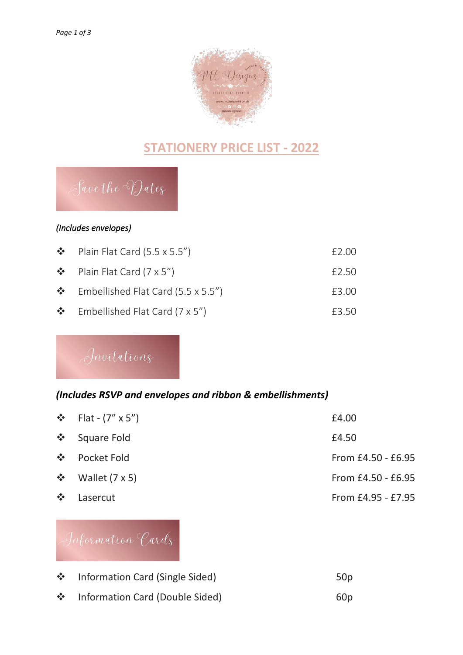

### **STATIONERY PRICE LIST - 2022**

## Save the Dates

#### *(Includes envelopes)*

| $\bullet$ Plain Flat Card (5.5 x 5.5")         | £2.00 |
|------------------------------------------------|-------|
| $\bullet$ Plain Flat Card (7 x 5")             | £2.50 |
| $\clubsuit$ Embellished Flat Card (5.5 x 5.5") | £3.00 |
| $\clubsuit$ Embellished Flat Card (7 x 5")     | £3.50 |

Invitations

#### *(Includes RSVP and envelopes and ribbon & embellishments)*

|                           | ❖ Flat - $(7'' \times 5'')$ | £4.00                |
|---------------------------|-----------------------------|----------------------|
|                           | ❖ Square Fold               | £4.50                |
|                           | ❖ Pocket Fold               | From £4.50 - £6.95   |
|                           | $\div$ Wallet (7 x 5)       | From $£4.50 - £6.95$ |
| $\mathcal{L}(\mathbf{r})$ | Lasercut                    | From £4.95 - £7.95   |



| ❖ Information Card (Single Sided) | 50 <sub>p</sub> |
|-----------------------------------|-----------------|
| ❖ Information Card (Double Sided) | 60 <sub>p</sub> |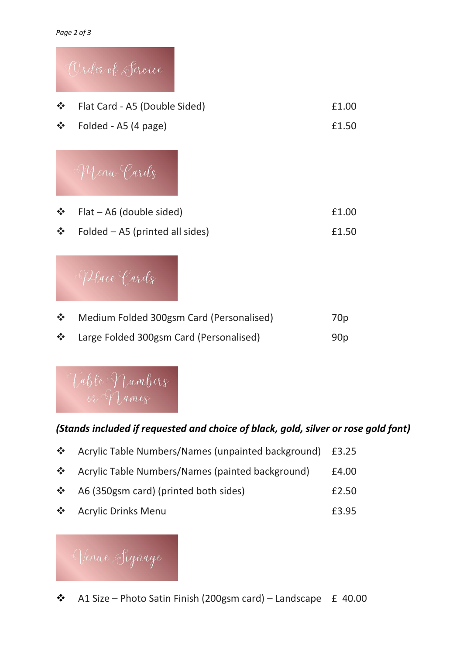



❖ Large Folded 300gsm Card (Personalised) 90p



### *(Stands included if requested and choice of black, gold, silver or rose gold font)*

| <b>经</b> | Acrylic Table Numbers/Names (unpainted background) £3.25 |       |
|----------|----------------------------------------------------------|-------|
|          | ❖ Acrylic Table Numbers/Names (painted background)       | £4.00 |
|          | $\triangle$ A6 (350gsm card) (printed both sides)        | £2.50 |
|          | ❖ Acrylic Drinks Menu                                    | £3.95 |

# Nenue Signage